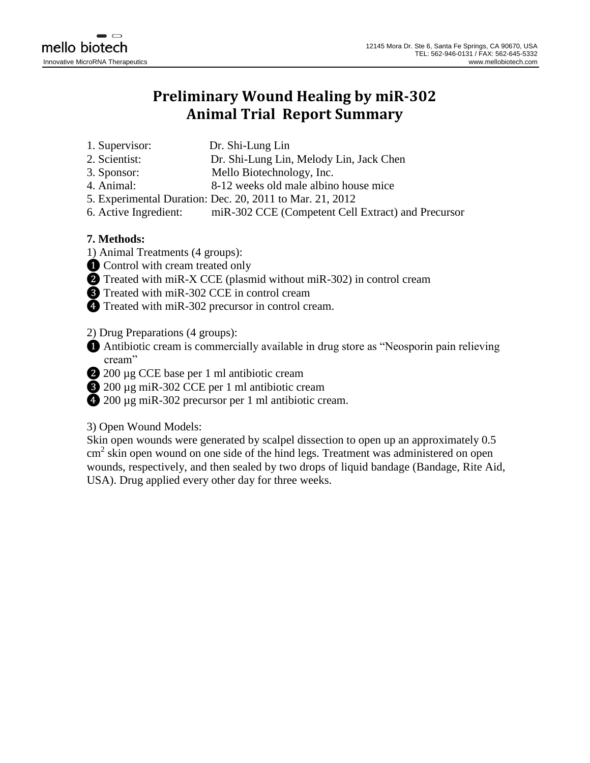## **Preliminary Wound Healing by miR-302 Animal Trial Report Summary**

- 1. Supervisor: Dr. Shi-Lung Lin
- 2. Scientist: Dr. Shi-Lung Lin, Melody Lin, Jack Chen
- 3. Sponsor: Mello Biotechnology, Inc.
- 4. Animal: 8-12 weeks old male albino house mice
- 5. Experimental Duration: Dec. 20, 2011 to Mar. 21, 2012
- 6. Active Ingredient: miR-302 CCE (Competent Cell Extract) and Precursor

## **7. Methods:**

- 1) Animal Treatments (4 groups):
- ❶ Control with cream treated only
- ❷ Treated with miR-X CCE (plasmid without miR-302) in control cream
- ❸ Treated with miR-302 CCE in control cream
- ❹ Treated with miR-302 precursor in control cream.

2) Drug Preparations (4 groups):

- ❶ Antibiotic cream is commercially available in drug store as "Neosporin pain relieving cream"
- ❷ 200 µg CCE base per 1 ml antibiotic cream
- ❸ 200 µg miR-302 CCE per 1 ml antibiotic cream
- ❹ 200 µg miR-302 precursor per 1 ml antibiotic cream.

## 3) Open Wound Models:

Skin open wounds were generated by scalpel dissection to open up an approximately 0.5 cm<sup>2</sup> skin open wound on one side of the hind legs. Treatment was administered on open wounds, respectively, and then sealed by two drops of liquid bandage (Bandage, Rite Aid, USA). Drug applied every other day for three weeks.